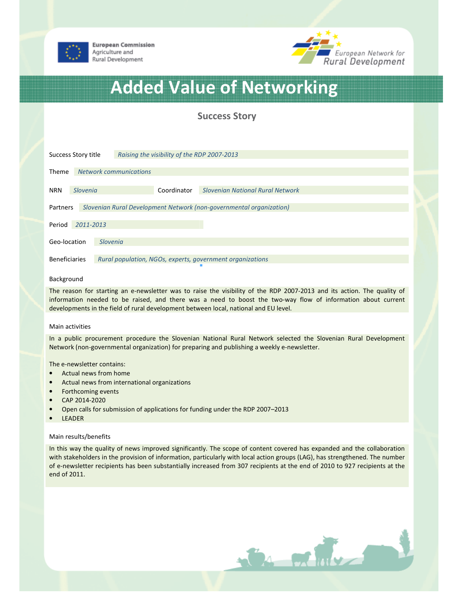



# Added Value of Networking

Success Story

| Success Story title                                                             |                               |          | Raising the visibility of the RDP 2007-2013 |                                                           |  |
|---------------------------------------------------------------------------------|-------------------------------|----------|---------------------------------------------|-----------------------------------------------------------|--|
| Theme                                                                           | <b>Network communications</b> |          |                                             |                                                           |  |
| <b>NRN</b>                                                                      | Slovenia                      |          | Coordinator                                 | <b>Slovenian National Rural Network</b>                   |  |
| Slovenian Rural Development Network (non-governmental organization)<br>Partners |                               |          |                                             |                                                           |  |
|                                                                                 |                               |          |                                             |                                                           |  |
| Period<br>2011-2013                                                             |                               |          |                                             |                                                           |  |
| Geo-location                                                                    |                               | Slovenia |                                             |                                                           |  |
| <b>Beneficiaries</b>                                                            |                               |          |                                             | Rural population, NGOs, experts, government organizations |  |

## Background

The reason for starting an e-newsletter was to raise the visibility of the RDP 2007-2013 and its action. The quality of information needed to be raised, and there was a need to boost the two-way flow of information about current developments in the field of rural development between local, national and EU level.

#### Main activities

In a public procurement procedure the Slovenian National Rural Network selected the Slovenian Rural Development Network (non-governmental organization) for preparing and publishing a weekly e-newsletter.

The e-newsletter contains:

- Actual news from home
- Actual news from international organizations
- Forthcoming events
- CAP 2014-2020
- Open calls for submission of applications for funding under the RDP 2007–2013
- **LEADER**

### Main results/benefits

In this way the quality of news improved significantly. The scope of content covered has expanded and the collaboration with stakeholders in the provision of information, particularly with local action groups (LAG), has strengthened. The number of e-newsletter recipients has been substantially increased from 307 recipients at the end of 2010 to 927 recipients at the end of 2011.

CA or interest